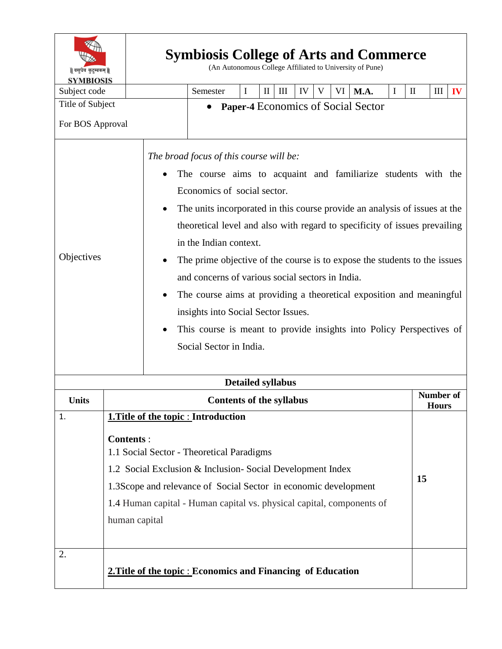| ॥ वसुधैव कुटुम्बकम् ॥<br><b>SYMBIOSIS</b> |                                                                                                                                                                                                                                                                                         |                                 |                                                                                                                                                                                                                                                                                                                                                                                                                                                                                                                                                                                                                                                                                       |                                                              | <b>Symbiosis College of Arts and Commerce</b><br>(An Autonomous College Affiliated to University of Pune) |    |   |    |      |    |              |                           |    |  |  |  |
|-------------------------------------------|-----------------------------------------------------------------------------------------------------------------------------------------------------------------------------------------------------------------------------------------------------------------------------------------|---------------------------------|---------------------------------------------------------------------------------------------------------------------------------------------------------------------------------------------------------------------------------------------------------------------------------------------------------------------------------------------------------------------------------------------------------------------------------------------------------------------------------------------------------------------------------------------------------------------------------------------------------------------------------------------------------------------------------------|--------------------------------------------------------------|-----------------------------------------------------------------------------------------------------------|----|---|----|------|----|--------------|---------------------------|----|--|--|--|
| Subject code                              |                                                                                                                                                                                                                                                                                         | Semester                        | I                                                                                                                                                                                                                                                                                                                                                                                                                                                                                                                                                                                                                                                                                     | $\mathbf{I}$                                                 | III                                                                                                       | IV | V | VI | M.A. | I  | $\mathbf{I}$ | $\mathop{\rm III}$        | IV |  |  |  |
| Title of Subject                          |                                                                                                                                                                                                                                                                                         |                                 |                                                                                                                                                                                                                                                                                                                                                                                                                                                                                                                                                                                                                                                                                       | <b>Paper-4 Economics of Social Sector</b>                    |                                                                                                           |    |   |    |      |    |              |                           |    |  |  |  |
| For BOS Approval                          |                                                                                                                                                                                                                                                                                         |                                 |                                                                                                                                                                                                                                                                                                                                                                                                                                                                                                                                                                                                                                                                                       |                                                              |                                                                                                           |    |   |    |      |    |              |                           |    |  |  |  |
| Objectives                                |                                                                                                                                                                                                                                                                                         |                                 | The broad focus of this course will be:<br>The course aims to acquaint and familiarize students with the<br>Economics of social sector.<br>The units incorporated in this course provide an analysis of issues at the<br>٠<br>theoretical level and also with regard to specificity of issues prevailing<br>in the Indian context.<br>The prime objective of the course is to expose the students to the issues<br>and concerns of various social sectors in India.<br>The course aims at providing a theoretical exposition and meaningful<br>insights into Social Sector Issues.<br>This course is meant to provide insights into Policy Perspectives of<br>Social Sector in India. |                                                              |                                                                                                           |    |   |    |      |    |              |                           |    |  |  |  |
| <b>Detailed syllabus</b>                  |                                                                                                                                                                                                                                                                                         |                                 |                                                                                                                                                                                                                                                                                                                                                                                                                                                                                                                                                                                                                                                                                       |                                                              |                                                                                                           |    |   |    |      |    |              |                           |    |  |  |  |
| Units                                     |                                                                                                                                                                                                                                                                                         | <b>Contents of the syllabus</b> |                                                                                                                                                                                                                                                                                                                                                                                                                                                                                                                                                                                                                                                                                       |                                                              |                                                                                                           |    |   |    |      |    |              | Number of<br><b>Hours</b> |    |  |  |  |
| 1.                                        |                                                                                                                                                                                                                                                                                         |                                 |                                                                                                                                                                                                                                                                                                                                                                                                                                                                                                                                                                                                                                                                                       | 1. Title of the topic : Introduction                         |                                                                                                           |    |   |    |      |    |              |                           |    |  |  |  |
|                                           | <b>Contents:</b><br>1.1 Social Sector - Theoretical Paradigms<br>1.2 Social Exclusion & Inclusion-Social Development Index<br>1.3Scope and relevance of Social Sector in economic development<br>1.4 Human capital - Human capital vs. physical capital, components of<br>human capital |                                 |                                                                                                                                                                                                                                                                                                                                                                                                                                                                                                                                                                                                                                                                                       |                                                              |                                                                                                           |    |   |    |      | 15 |              |                           |    |  |  |  |
| 2.                                        |                                                                                                                                                                                                                                                                                         |                                 |                                                                                                                                                                                                                                                                                                                                                                                                                                                                                                                                                                                                                                                                                       | 2. Title of the topic : Economics and Financing of Education |                                                                                                           |    |   |    |      |    |              |                           |    |  |  |  |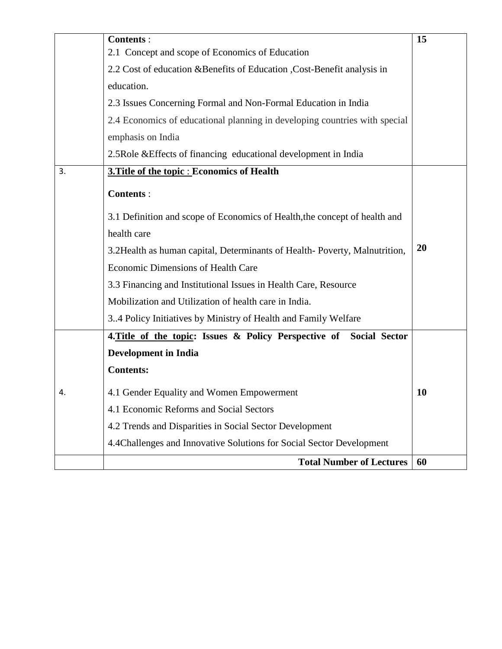|    | <b>Contents:</b>                                                           | 15        |  |  |  |  |  |  |
|----|----------------------------------------------------------------------------|-----------|--|--|--|--|--|--|
|    | 2.1 Concept and scope of Economics of Education                            |           |  |  |  |  |  |  |
|    | 2.2 Cost of education & Benefits of Education , Cost-Benefit analysis in   |           |  |  |  |  |  |  |
|    | education.                                                                 |           |  |  |  |  |  |  |
|    | 2.3 Issues Concerning Formal and Non-Formal Education in India             |           |  |  |  |  |  |  |
|    | 2.4 Economics of educational planning in developing countries with special |           |  |  |  |  |  |  |
|    | emphasis on India                                                          |           |  |  |  |  |  |  |
|    | 2.5 Role & Effects of financing educational development in India           |           |  |  |  |  |  |  |
| 3. | 3. Title of the topic : Economics of Health                                |           |  |  |  |  |  |  |
|    | <b>Contents:</b>                                                           |           |  |  |  |  |  |  |
|    | 3.1 Definition and scope of Economics of Health, the concept of health and |           |  |  |  |  |  |  |
|    | health care                                                                |           |  |  |  |  |  |  |
|    | 3.2Health as human capital, Determinants of Health-Poverty, Malnutrition,  |           |  |  |  |  |  |  |
|    | Economic Dimensions of Health Care                                         |           |  |  |  |  |  |  |
|    | 3.3 Financing and Institutional Issues in Health Care, Resource            |           |  |  |  |  |  |  |
|    | Mobilization and Utilization of health care in India.                      |           |  |  |  |  |  |  |
|    | 34 Policy Initiatives by Ministry of Health and Family Welfare             |           |  |  |  |  |  |  |
|    | 4. Title of the topic: Issues & Policy Perspective of Social Sector        |           |  |  |  |  |  |  |
|    | <b>Development in India</b>                                                |           |  |  |  |  |  |  |
|    | <b>Contents:</b>                                                           |           |  |  |  |  |  |  |
| 4. | 4.1 Gender Equality and Women Empowerment                                  | <b>10</b> |  |  |  |  |  |  |
|    | 4.1 Economic Reforms and Social Sectors                                    |           |  |  |  |  |  |  |
|    | 4.2 Trends and Disparities in Social Sector Development                    |           |  |  |  |  |  |  |
|    | 4.4 Challenges and Innovative Solutions for Social Sector Development      |           |  |  |  |  |  |  |
|    | <b>Total Number of Lectures</b>                                            |           |  |  |  |  |  |  |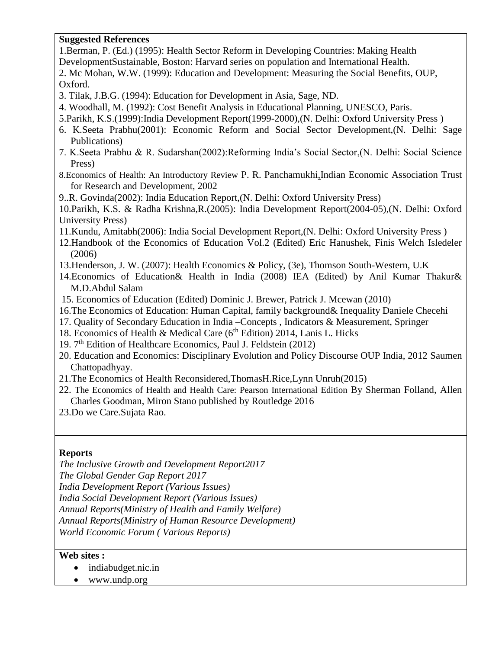## **Suggested References**

1.Berman, P. (Ed.) (1995): Health Sector Reform in Developing Countries: Making Health DevelopmentSustainable, Boston: Harvard series on population and International Health. 2. Mc Mohan, W.W. (1999): Education and Development: Measuring the Social Benefits, OUP, Oxford.

- 3. Tilak, J.B.G. (1994): Education for Development in Asia, Sage, ND.
- 4. Woodhall, M. (1992): Cost Benefit Analysis in Educational Planning, UNESCO, Paris.
- 5.Parikh, K.S.(1999):India Development Report(1999-2000),(N. Delhi: Oxford University Press )
- 6. K.Seeta Prabhu(2001): Economic Reform and Social Sector Development,(N. Delhi: Sage Publications)
- 7. K.Seeta Prabhu & R. Sudarshan(2002):Reforming India's Social Sector,(N. Delhi: Social Science Press)
- 8.Economics of Health: An Introductory Review P. R. Panchamukhi,Indian Economic Association Trust for Research and Development, 2002
- 9..R. Govinda(2002): India Education Report,(N. Delhi: Oxford University Press)
- 10.Parikh, K.S. & Radha Krishna,R.(2005): India Development Report(2004-05),(N. Delhi: Oxford University Press)
- 11.Kundu, Amitabh(2006): India Social Development Report,(N. Delhi: Oxford University Press )
- 12.Handbook of the Economics of Education Vol.2 (Edited) Eric Hanushek, Finis Welch Isledeler (2006)
- 13.Henderson, J. W. (2007): Health Economics & Policy, (3e), Thomson South-Western, U.K
- 14.Economics of Education& Health in India (2008) IEA (Edited) by Anil Kumar Thakur& M.D.Abdul Salam
- 15. Economics of Education (Edited) Dominic J. Brewer, Patrick J. Mcewan (2010)
- 16.The Economics of Education: Human Capital, family background& Inequality Daniele Checehi
- 17. Quality of Secondary Education in India –Concepts , Indicators & Measurement, Springer
- 18. Economics of Health & Medical Care (6<sup>th</sup> Edition) 2014, Lanis L. Hicks
- 19. 7<sup>th</sup> Edition of Healthcare Economics, Paul J. Feldstein (2012)
- 20. Education and Economics: Disciplinary Evolution and Policy Discourse OUP India, 2012 [Saumen](https://www.google.co.in/search?tbo=p&tbm=bks&q=inauthor:%22Saumen+Chattopadhyay%22&source=gbs_metadata_r&cad=3)  [Chattopadhyay.](https://www.google.co.in/search?tbo=p&tbm=bks&q=inauthor:%22Saumen+Chattopadhyay%22&source=gbs_metadata_r&cad=3)
- 21.The Economics of Health Reconsidered,ThomasH.Rice,Lynn Unruh(2015)
- 22. The Economics of Health and Health Care: Pearson International Edition By Sherman Folland, Allen Charles Goodman, Miron Stano published by Routledge 2016
- 23.Do we Care.Sujata Rao.

## **Reports**

*The Inclusive Growth and Development Report2017 The Global Gender Gap Report 2017 India Development Report (Various Issues) India Social Development Report (Various Issues) Annual Reports(Ministry of Health and Family Welfare) Annual Reports(Ministry of Human Resource Development) World Economic Forum ( Various Reports)*

## **Web sites :**

- indiabudget.nic.in
- www.undp.org